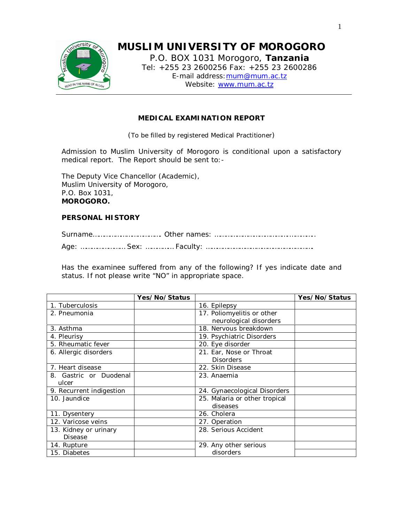

# **MUSLIM UNIVERSITY OF MOROGORO**

P.O. BOX 1031 Morogoro, **Tanzania** Tel: +255 23 2600256 Fax: +255 23 2600286 E-mail address:mum@mum.ac.tz Website: www.mum.ac.tz

#### **MEDICAL EXAMINATION REPORT**

(To be filled by registered Medical Practitioner)

Admission to Muslim University of Morogoro is conditional upon a satisfactory medical report. The Report should be sent to:-

The Deputy Vice Chancellor (Academic), Muslim University of Morogoro, P.O. Box 1031, **MOROGORO.**

#### **PERSONAL HISTORY**

Surname………………………………. Other names: ………………………………….………….. Age: …………………… Sex: …………… Faculty: ………………………………………………….

Has the examinee suffered from any of the following? If yes indicate date and status. If not please write "NO" in appropriate space.

|                          | Yes/No/Status |                               | Yes/No/Status |
|--------------------------|---------------|-------------------------------|---------------|
| 1. Tuberculosis          |               | 16. Epilepsy                  |               |
| 2. Pneumonia             |               | 17. Poliomyelitis or other    |               |
|                          |               | neurological disorders        |               |
| 3. Asthma                |               | 18. Nervous breakdown         |               |
| 4. Pleurisy              |               | 19. Psychiatric Disorders     |               |
| 5. Rheumatic fever       |               | 20. Eye disorder              |               |
| 6. Allergic disorders    |               | 21. Ear, Nose or Throat       |               |
|                          |               | <b>Disorders</b>              |               |
| 7. Heart disease         |               | 22. Skin Disease              |               |
| 8. Gastric or Duodenal   |               | 23. Anaemia                   |               |
| ulcer                    |               |                               |               |
| 9. Recurrent indigestion |               | 24. Gynaecological Disorders  |               |
| 10. Jaundice             |               | 25. Malaria or other tropical |               |
|                          |               | diseases                      |               |
| 11. Dysentery            |               | 26. Cholera                   |               |
| 12. Varicose veins       |               | 27. Operation                 |               |
| 13. Kidney or urinary    |               | 28. Serious Accident          |               |
| <b>Disease</b>           |               |                               |               |
| 14. Rupture              |               | 29. Any other serious         |               |
| 15. Diabetes             |               | disorders                     |               |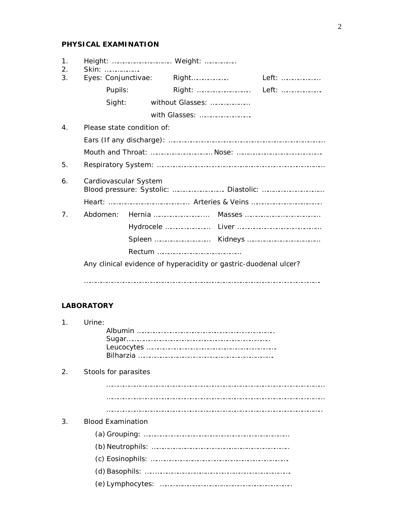## **PHYSICAL EXAMINATION**

| 1.<br>2.       | Skin:                                                          |                            | Height:  Weight:                                                 |  |       |  |
|----------------|----------------------------------------------------------------|----------------------------|------------------------------------------------------------------|--|-------|--|
| 3.             |                                                                |                            |                                                                  |  | Left: |  |
|                | Pupils:                                                        |                            |                                                                  |  |       |  |
|                | Sight:                                                         |                            | without Glasses:                                                 |  |       |  |
|                |                                                                |                            | with Glasses:                                                    |  |       |  |
| 4 <sub>1</sub> |                                                                | Please state condition of: |                                                                  |  |       |  |
|                |                                                                |                            |                                                                  |  |       |  |
|                |                                                                |                            |                                                                  |  |       |  |
| 5.             |                                                                |                            |                                                                  |  |       |  |
| 6.             | Cardiovascular System<br>Blood pressure: Systolic:  Diastolic: |                            |                                                                  |  |       |  |
|                |                                                                |                            |                                                                  |  |       |  |
| 7 <sub>1</sub> |                                                                |                            |                                                                  |  |       |  |
|                |                                                                |                            |                                                                  |  |       |  |
|                |                                                                |                            |                                                                  |  |       |  |
|                |                                                                |                            |                                                                  |  |       |  |
|                |                                                                |                            | Any clinical evidence of hyperacidity or gastric-duodenal ulcer? |  |       |  |
|                |                                                                |                            |                                                                  |  |       |  |

……………………………………………………………………………………………………………….

### **LABORATORY**

| $\mathbf 1$ . | Urine:                   |
|---------------|--------------------------|
|               |                          |
|               |                          |
|               |                          |
|               |                          |
| 2.            | Stools for parasites     |
|               |                          |
|               |                          |
|               |                          |
| 3.            | <b>Blood Examination</b> |
|               |                          |
|               |                          |
|               |                          |
|               |                          |
|               |                          |